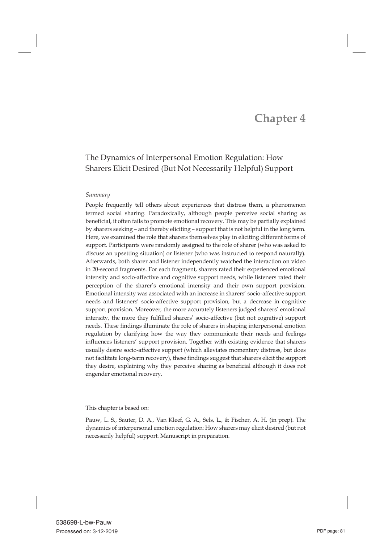# **Chapter 4**

# The Dynamics of Interpersonal Emotion Regulation: How Sharers Elicit Desired (But Not Necessarily Helpful) Support

#### *Summary*

People frequently tell others about experiences that distress them, a phenomenon termed social sharing. Paradoxically, although people perceive social sharing as beneficial, it often fails to promote emotional recovery. This may be partially explained by sharers seeking – and thereby eliciting – support that is not helpful in the long term. Here, we examined the role that sharers themselves play in eliciting different forms of support. Participants were randomly assigned to the role of sharer (who was asked to discuss an upsetting situation) or listener (who was instructed to respond naturally). Afterwards, both sharer and listener independently watched the interaction on video in 20-second fragments. For each fragment, sharers rated their experienced emotional intensity and socio-affective and cognitive support needs, while listeners rated their perception of the sharer's emotional intensity and their own support provision. Emotional intensity was associated with an increase in sharers' socio-affective support needs and listeners' socio-affective support provision, but a decrease in cognitive support provision. Moreover, the more accurately listeners judged sharers' emotional intensity, the more they fulfilled sharers' socio-affective (but not cognitive) support needs. These findings illuminate the role of sharers in shaping interpersonal emotion regulation by clarifying how the way they communicate their needs and feelings influences listeners' support provision. Together with existing evidence that sharers usually desire socio-affective support (which alleviates momentary distress, but does not facilitate long-term recovery), these findings suggest that sharers elicit the support they desire, explaining why they perceive sharing as beneficial although it does not engender emotional recovery.

This chapter is based on:

Pauw, L. S., Sauter, D. A., Van Kleef, G. A., Sels, L., & Fischer, A. H. (in prep). The dynamics of interpersonal emotion regulation: How sharers may elicit desired (but not necessarily helpful) support. Manuscript in preparation.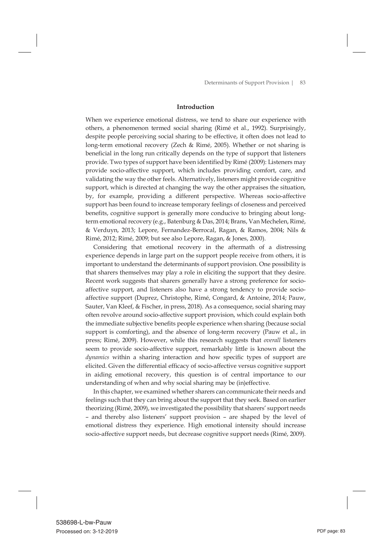#### **Introduction**

When we experience emotional distress, we tend to share our experience with others, a phenomenon termed social sharing (Rimé et al., 1992). Surprisingly, despite people perceiving social sharing to be effective, it often does not lead to long-term emotional recovery (Zech & Rimé, 2005). Whether or not sharing is beneficial in the long run critically depends on the type of support that listeners provide. Two types of support have been identified by Rimé (2009): Listeners may provide socio-affective support, which includes providing comfort, care, and validating the way the other feels. Alternatively, listeners might provide cognitive support, which is directed at changing the way the other appraises the situation, by, for example, providing a different perspective. Whereas socio-affective support has been found to increase temporary feelings of closeness and perceived benefits, cognitive support is generally more conducive to bringing about longterm emotional recovery (e.g., Batenburg & Das, 2014; Brans, Van Mechelen, Rimé, & Verduyn, 2013; Lepore, Fernandez-Berrocal, Ragan, & Ramos, 2004; Nils & Rimé, 2012; Rimé, 2009; but see also Lepore, Ragan, & Jones, 2000).

 Considering that emotional recovery in the aftermath of a distressing experience depends in large part on the support people receive from others, it is important to understand the determinants of support provision. One possibility is that sharers themselves may play a role in eliciting the support that they desire. Recent work suggests that sharers generally have a strong preference for socioaffective support, and listeners also have a strong tendency to provide socioaffective support (Duprez, Christophe, Rimé, Congard, & Antoine, 2014; Pauw, Sauter, Van Kleef, & Fischer, in press, 2018). As a consequence, social sharing may often revolve around socio-affective support provision, which could explain both the immediate subjective benefits people experience when sharing (because social support is comforting), and the absence of long-term recovery (Pauw et al., in press; Rimé, 2009). However, while this research suggests that *overall* listeners seem to provide socio-affective support, remarkably little is known about the *dynamics* within a sharing interaction and how specific types of support are elicited. Given the differential efficacy of socio-affective versus cognitive support in aiding emotional recovery, this question is of central importance to our understanding of when and why social sharing may be (in)effective.

 In this chapter, we examined whether sharers can communicate their needs and feelings such that they can bring about the support that they seek. Based on earlier theorizing (Rimé, 2009), we investigated the possibility that sharers' support needs – and thereby also listeners' support provision – are shaped by the level of emotional distress they experience. High emotional intensity should increase socio-affective support needs, but decrease cognitive support needs (Rimé, 2009).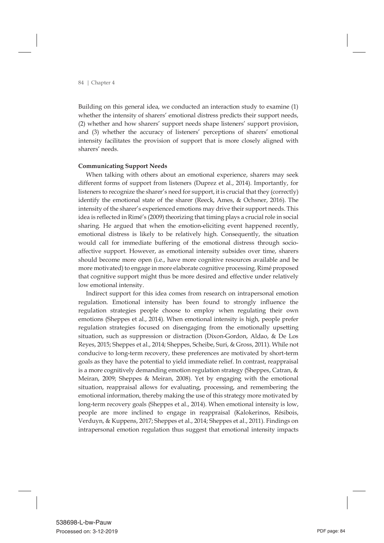Building on this general idea, we conducted an interaction study to examine (1) whether the intensity of sharers' emotional distress predicts their support needs, (2) whether and how sharers' support needs shape listeners' support provision, and (3) whether the accuracy of listeners' perceptions of sharers' emotional intensity facilitates the provision of support that is more closely aligned with sharers' needs.

# **Communicating Support Needs**

 When talking with others about an emotional experience, sharers may seek different forms of support from listeners (Duprez et al., 2014). Importantly, for listeners to recognize the sharer's need for support, it is crucial that they (correctly) identify the emotional state of the sharer (Reeck, Ames, & Ochsner, 2016). The intensity of the sharer's experienced emotions may drive their support needs. This idea is reflected in Rimé's (2009) theorizing that timing plays a crucial role in social sharing. He argued that when the emotion-eliciting event happened recently, emotional distress is likely to be relatively high. Consequently, the situation would call for immediate buffering of the emotional distress through socioaffective support. However, as emotional intensity subsides over time, sharers should become more open (i.e., have more cognitive resources available and be more motivated) to engage in more elaborate cognitive processing. Rimé proposed that cognitive support might thus be more desired and effective under relatively low emotional intensity.

 Indirect support for this idea comes from research on intrapersonal emotion regulation. Emotional intensity has been found to strongly influence the regulation strategies people choose to employ when regulating their own emotions (Sheppes et al., 2014). When emotional intensity is high, people prefer regulation strategies focused on disengaging from the emotionally upsetting situation, such as suppression or distraction (Dixon-Gordon, Aldao, & De Los Reyes, 2015; Sheppes et al., 2014; Sheppes, Scheibe, Suri, & Gross, 2011). While not conducive to long-term recovery, these preferences are motivated by short-term goals as they have the potential to yield immediate relief. In contrast, reappraisal is a more cognitively demanding emotion regulation strategy (Sheppes, Catran, & Meiran, 2009; Sheppes & Meiran, 2008). Yet by engaging with the emotional situation, reappraisal allows for evaluating, processing, and remembering the emotional information, thereby making the use of this strategy more motivated by long-term recovery goals (Sheppes et al., 2014). When emotional intensity is low, people are more inclined to engage in reappraisal (Kalokerinos, Résibois, Verduyn, & Kuppens, 2017; Sheppes et al., 2014; Sheppes et al., 2011). Findings on intrapersonal emotion regulation thus suggest that emotional intensity impacts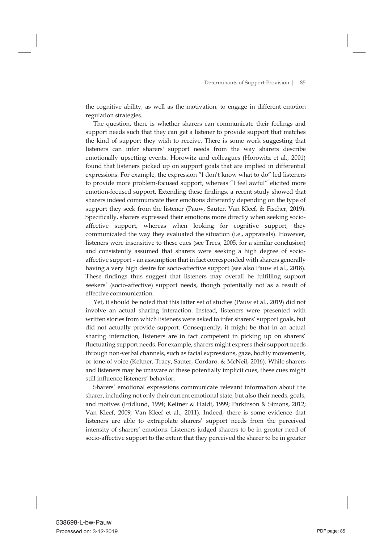the cognitive ability, as well as the motivation, to engage in different emotion regulation strategies.

 The question, then, is whether sharers can communicate their feelings and support needs such that they can get a listener to provide support that matches the kind of support they wish to receive. There is some work suggesting that listeners can infer sharers' support needs from the way sharers describe emotionally upsetting events. Horowitz and colleagues (Horowitz et al., 2001) found that listeners picked up on support goals that are implied in differential expressions: For example, the expression "I don't know what to do" led listeners to provide more problem-focused support, whereas "I feel awful" elicited more emotion-focused support. Extending these findings, a recent study showed that sharers indeed communicate their emotions differently depending on the type of support they seek from the listener (Pauw, Sauter, Van Kleef, & Fischer, 2019). Specifically, sharers expressed their emotions more directly when seeking socioaffective support, whereas when looking for cognitive support, they communicated the way they evaluated the situation (i.e., appraisals). However, listeners were insensitive to these cues (see Trees, 2005, for a similar conclusion) and consistently assumed that sharers were seeking a high degree of socioaffective support – an assumption that in fact corresponded with sharers generally having a very high desire for socio-affective support (see also Pauw et al., 2018). These findings thus suggest that listeners may overall be fulfilling support seekers' (socio-affective) support needs, though potentially not as a result of effective communication.

 Yet, it should be noted that this latter set of studies (Pauw et al., 2019) did not involve an actual sharing interaction. Instead, listeners were presented with written stories from which listeners were asked to infer sharers' support goals, but did not actually provide support. Consequently, it might be that in an actual sharing interaction, listeners are in fact competent in picking up on sharers' fluctuating support needs. For example, sharers might express their support needs through non-verbal channels, such as facial expressions, gaze, bodily movements, or tone of voice (Keltner, Tracy, Sauter, Cordaro, & McNeil, 2016). While sharers and listeners may be unaware of these potentially implicit cues, these cues might still influence listeners' behavior.

 Sharers' emotional expressions communicate relevant information about the sharer, including not only their current emotional state, but also their needs, goals, and motives (Fridlund, 1994; Keltner & Haidt, 1999; Parkinson & Simons, 2012; Van Kleef, 2009; Van Kleef et al., 2011). Indeed, there is some evidence that listeners are able to extrapolate sharers' support needs from the perceived intensity of sharers' emotions: Listeners judged sharers to be in greater need of socio-affective support to the extent that they perceived the sharer to be in greater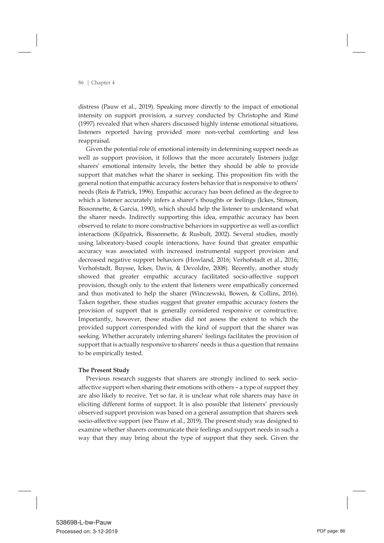distress (Pauw et al., 2019). Speaking more directly to the impact of emotional intensity on support provision, a survey conducted by Christophe and Rimé (1997) revealed that when sharers discussed highly intense emotional situations, listeners reported having provided more non-verbal comforting and less reappraisal.

 Given the potential role of emotional intensity in determining support needs as well as support provision, it follows that the more accurately listeners judge sharers' emotional intensity levels, the better they should be able to provide support that matches what the sharer is seeking. This proposition fits with the general notion that empathic accuracy fosters behavior that is responsive to others' needs (Reis & Patrick, 1996). Empathic accuracy has been defined as the degree to which a listener accurately infers a sharer's thoughts or feelings (Ickes, Stinson, Bissonnette, & Garcia, 1990), which should help the listener to understand what the sharer needs. Indirectly supporting this idea, empathic accuracy has been observed to relate to more constructive behaviors in supportive as well as conflict interactions (Kilpatrick, Bissonnette, & Rusbult, 2002). Several studies, mostly using laboratory-based couple interactions, have found that greater empathic accuracy was associated with increased instrumental support provision and decreased negative support behaviors (Howland, 2016; Verhofstadt et al., 2016; Verhofstadt, Buysse, Ickes, Davis, & Devoldre, 2008). Recently, another study showed that greater empathic accuracy facilitated socio-affective support provision, though only to the extent that listeners were empathically concerned and thus motivated to help the sharer (Winczewski, Bowen, & Collins, 2016). Taken together, these studies suggest that greater empathic accuracy fosters the provision of support that is generally considered responsive or constructive. Importantly, however, these studies did not assess the extent to which the provided support corresponded with the kind of support that the sharer was seeking. Whether accurately inferring sharers' feelings facilitates the provision of support that is actually responsive to sharers' needs is thus a question that remains to be empirically tested.

#### **The Present Study**

 Previous research suggests that sharers are strongly inclined to seek socioaffective support when sharing their emotions with others – a type of support they are also likely to receive. Yet so far, it is unclear what role sharers may have in eliciting different forms of support. It is also possible that listeners' previously observed support provision was based on a general assumption that sharers seek socio-affective support (see Pauw et al., 2019). The present study was designed to examine whether sharers communicate their feelings and support needs in such a way that they may bring about the type of support that they seek. Given the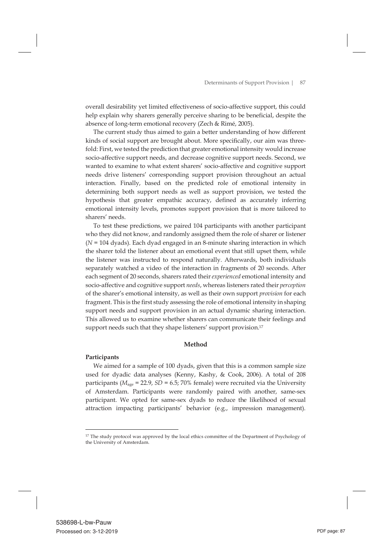overall desirability yet limited effectiveness of socio-affective support, this could help explain why sharers generally perceive sharing to be beneficial, despite the absence of long-term emotional recovery (Zech & Rimé, 2005).

 The current study thus aimed to gain a better understanding of how different kinds of social support are brought about. More specifically, our aim was threefold: First, we tested the prediction that greater emotional intensity would increase socio-affective support needs, and decrease cognitive support needs. Second, we wanted to examine to what extent sharers' socio-affective and cognitive support needs drive listeners' corresponding support provision throughout an actual interaction. Finally, based on the predicted role of emotional intensity in determining both support needs as well as support provision, we tested the hypothesis that greater empathic accuracy, defined as accurately inferring emotional intensity levels, promotes support provision that is more tailored to sharers' needs.

 To test these predictions, we paired 104 participants with another participant who they did not know, and randomly assigned them the role of sharer or listener (*N* = 104 dyads). Each dyad engaged in an 8-minute sharing interaction in which the sharer told the listener about an emotional event that still upset them, while the listener was instructed to respond naturally. Afterwards, both individuals separately watched a video of the interaction in fragments of 20 seconds. After each segment of 20 seconds, sharers rated their*experienced* emotional intensity and socio-affective and cognitive support *needs*, whereas listeners rated their *perception* of the sharer's emotional intensity, as well as their own support *provision* for each fragment. This is the first study assessing the role of emotional intensity in shaping support needs and support provision in an actual dynamic sharing interaction. This allowed us to examine whether sharers can communicate their feelings and support needs such that they shape listeners' support provision.<sup>17</sup>

# **Method**

# **Participants**

 We aimed for a sample of 100 dyads, given that this is a common sample size used for dyadic data analyses (Kenny, Kashy, & Cook, 2006). A total of 208 participants ( $M_{\text{age}}$  = 22.9, *SD* = 6.5; 70% female) were recruited via the University of Amsterdam. Participants were randomly paired with another, same-sex participant. We opted for same-sex dyads to reduce the likelihood of sexual attraction impacting participants' behavior (e.g., impression management).

<sup>&</sup>lt;sup>17</sup> The study protocol was approved by the local ethics committee of the Department of Psychology of the University of Amsterdam.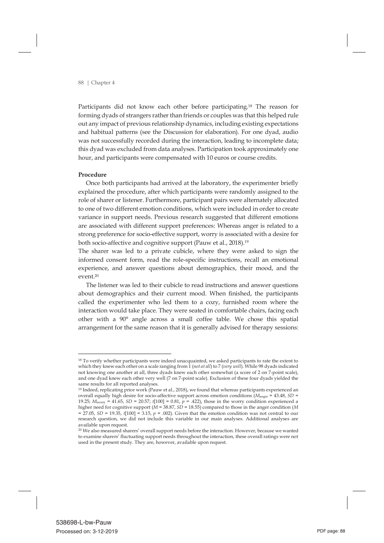Participants did not know each other before participating.18 The reason for forming dyads of strangers rather than friends or couples was that this helped rule out any impact of previous relationship dynamics, including existing expectations and habitual patterns (see the Discussion for elaboration). For one dyad, audio was not successfully recorded during the interaction, leading to incomplete data; this dyad was excluded from data analyses. Participation took approximately one hour, and participants were compensated with 10 euros or course credits.

#### **Procedure**

 Once both participants had arrived at the laboratory, the experimenter briefly explained the procedure, after which participants were randomly assigned to the role of sharer or listener. Furthermore, participant pairs were alternately allocated to one of two different emotion conditions, which were included in order to create variance in support needs. Previous research suggested that different emotions are associated with different support preferences: Whereas anger is related to a strong preference for socio-effective support, worry is associated with a desire for both socio-affective and cognitive support (Pauw et al., 2018). 19

The sharer was led to a private cubicle, where they were asked to sign the informed consent form, read the role-specific instructions, recall an emotional experience, and answer questions about demographics, their mood, and the event.20

 The listener was led to their cubicle to read instructions and answer questions about demographics and their current mood. When finished, the participants called the experimenter who led them to a cozy, furnished room where the interaction would take place. They were seated in comfortable chairs, facing each other with a 90° angle across a small coffee table. We chose this spatial arrangement for the same reason that it is generally advised for therapy sessions:

<sup>&</sup>lt;sup>18</sup> To verify whether participants were indeed unacquainted, we asked participants to rate the extent to which they knew each other on a scale ranging from 1 (*not at all*) to 7 (*very well*). While 98 dyads indicated not knowing one another at all, three dyads knew each other somewhat (a score of 2 on 7-point scale), and one dyad knew each other very well (7 on 7-point scale). Exclusion of these four dyads yielded the same results for all reported analyses.

<sup>19</sup> Indeed, replicating prior work (Pauw et al., 2018), we found that whereas participants experienced an overall equally high desire for socio-affective support across emotion conditions (*M*anger = 43.48, *SD* = 19.25;  $M_{\text{wory}} = 41.65$ ,  $SD = 20.57$ ;  $t[100] = 0.81$ ,  $p = .422$ ), those in the worry condition experienced a higher need for cognitive support (*M* = 38.87, *SD* = 18.55) compared to those in the anger condition (*M*  $= 27.05$ , *SD* = 19.35, *t*[100] = 3.15, *p* = .002). Given that the emotion condition was not central to our research question, we did not include this variable in our main analyses. Additional analyses are available upon request.

<sup>20</sup> We also measured sharers' overall support needs before the interaction. However, because we wanted to examine sharers' fluctuating support needs throughout the interaction, these overall ratings were not used in the present study. They are, however, available upon request.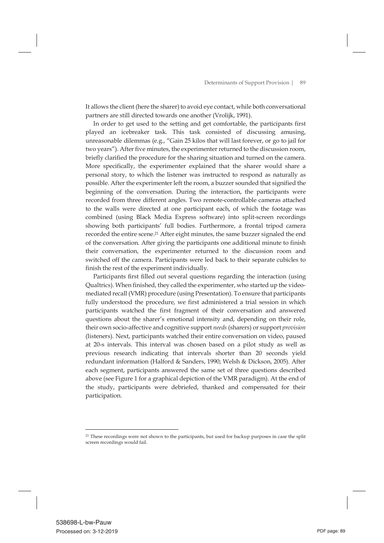It allows the client (here the sharer) to avoid eye contact, while both conversational partners are still directed towards one another (Vrolijk, 1991).

 In order to get used to the setting and get comfortable, the participants first played an icebreaker task. This task consisted of discussing amusing, unreasonable dilemmas (e.g., "Gain 25 kilos that will last forever, or go to jail for two years"). After five minutes, the experimenter returned to the discussion room, briefly clarified the procedure for the sharing situation and turned on the camera. More specifically, the experimenter explained that the sharer would share a personal story, to which the listener was instructed to respond as naturally as possible. After the experimenter left the room, a buzzer sounded that signified the beginning of the conversation. During the interaction, the participants were recorded from three different angles. Two remote-controllable cameras attached to the walls were directed at one participant each, of which the footage was combined (using Black Media Express software) into split-screen recordings showing both participants' full bodies. Furthermore, a frontal tripod camera recorded the entire scene.<sup>21</sup> After eight minutes, the same buzzer signaled the end of the conversation. After giving the participants one additional minute to finish their conversation, the experimenter returned to the discussion room and switched off the camera. Participants were led back to their separate cubicles to finish the rest of the experiment individually.

 Participants first filled out several questions regarding the interaction (using Qualtrics). When finished, they called the experimenter, who started up the videomediated recall (VMR) procedure (using Presentation). To ensure that participants fully understood the procedure, we first administered a trial session in which participants watched the first fragment of their conversation and answered questions about the sharer's emotional intensity and, depending on their role, their own socio-affective and cognitive support *needs* (sharers) or support *provision* (listeners). Next, participants watched their entire conversation on video, paused at 20-s intervals. This interval was chosen based on a pilot study as well as previous research indicating that intervals shorter than 20 seconds yield redundant information (Halford & Sanders, 1990; Welsh & Dickson, 2005). After each segment, participants answered the same set of three questions described above (see Figure 1 for a graphical depiction of the VMR paradigm). At the end of the study, participants were debriefed, thanked and compensated for their participation.

<sup>&</sup>lt;sup>21</sup> These recordings were not shown to the participants, but used for backup purposes in case the split screen recordings would fail.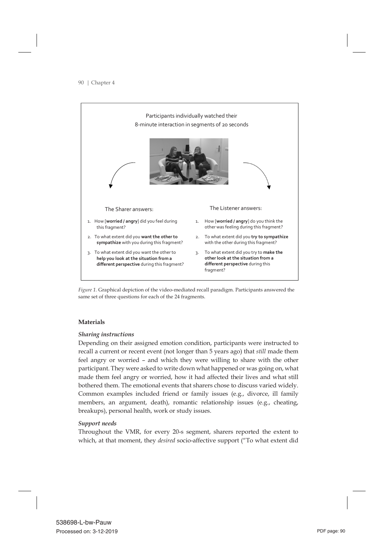

*Figure 1.* Graphical depiction of the video-mediated recall paradigm. Participants answered the same set of three questions for each of the 24 fragments.

# **Materials**

# *Sharing instructions*

Depending on their assigned emotion condition, participants were instructed to recall a current or recent event (not longer than 5 years ago) that *still* made them feel angry or worried – and which they were willing to share with the other participant. They were asked to write down what happened or was going on, what made them feel angry or worried, how it had affected their lives and what still bothered them. The emotional events that sharers chose to discuss varied widely. Common examples included friend or family issues (e.g., divorce, ill family members, an argument, death), romantic relationship issues (e.g., cheating, breakups), personal health, work or study issues.

# *Support needs*

Throughout the VMR, for every 20-s segment, sharers reported the extent to which, at that moment, they *desired* socio-affective support ("To what extent did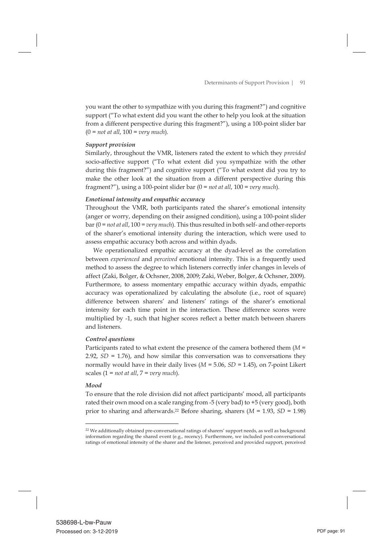you want the other to sympathize with you during this fragment?") and cognitive support ("To what extent did you want the other to help you look at the situation from a different perspective during this fragment?"), using a 100-point slider bar (0 = *not at all*, 100 = *very much*).

# *Support provision*

Similarly, throughout the VMR, listeners rated the extent to which they *provided* socio-affective support ("To what extent did you sympathize with the other during this fragment?") and cognitive support ("To what extent did you try to make the other look at the situation from a different perspective during this fragment?"), using a 100-point slider bar (0 = *not at all*, 100 = *very much*).

# *Emotional intensity and empathic accuracy*

Throughout the VMR, both participants rated the sharer's emotional intensity (anger or worry, depending on their assigned condition), using a 100-point slider bar (0 = *not at all*, 100 = *very much*). This thus resulted in both self- and other-reports of the sharer's emotional intensity during the interaction, which were used to assess empathic accuracy both across and within dyads.

 We operationalized empathic accuracy at the dyad-level as the correlation between *experienced* and *perceived* emotional intensity. This is a frequently used method to assess the degree to which listeners correctly infer changes in levels of affect (Zaki, Bolger, & Ochsner, 2008, 2009; Zaki, Weber, Bolger, & Ochsner, 2009). Furthermore, to assess momentary empathic accuracy within dyads, empathic accuracy was operationalized by calculating the absolute (i.e., root of square) difference between sharers' and listeners' ratings of the sharer's emotional intensity for each time point in the interaction. These difference scores were multiplied by -1, such that higher scores reflect a better match between sharers and listeners.

# *Control questions*

Participants rated to what extent the presence of the camera bothered them (*M* = 2.92,  $SD = 1.76$ ), and how similar this conversation was to conversations they normally would have in their daily lives (*M* = 5.06, *SD* = 1.45), on 7-point Likert scales  $(1 = not at all, 7 = very much).$ 

# *Mood*

To ensure that the role division did not affect participants' mood, all participants rated their own mood on a scale ranging from -5 (very bad) to +5 (very good), both prior to sharing and afterwards.22 Before sharing, sharers (*M* = 1.93, *SD* = 1.98)

 <sup>22</sup> We additionally obtained pre-conversational ratings of sharers' support needs, as well as background information regarding the shared event (e.g., recency). Furthermore, we included post-conversational ratings of emotional intensity of the sharer and the listener, perceived and provided support, perceived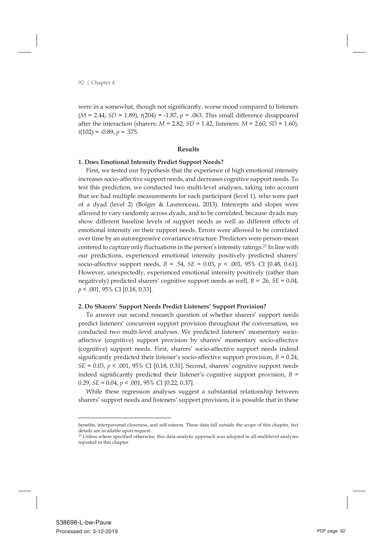were in a somewhat, though not significantly, worse mood compared to listeners  $(M = 2.44, SD = 1.89)$ ,  $t(204) = -1.87$ ,  $p = .063$ . This small difference disappeared after the interaction (sharers: *M* = 2.82, *SD* = 1.42, listeners: *M* = 2.60, *SD* = 1.60),  $t(102) = -0.89, p = .375.$ 

#### **Results**

## **1. Does Emotional Intensity Predict Support Needs?**

 First, we tested our hypothesis that the experience of high emotional intensity increases socio-affective support needs, and decreases cognitive support needs. To test this prediction, we conducted two multi-level analyses, taking into account that we had multiple measurements for each participant (level 1), who were part of a dyad (level 2) (Bolger & Laurenceau, 2013). Intercepts and slopes were allowed to vary randomly across dyads, and to be correlated, because dyads may show different baseline levels of support needs as well as different effects of emotional intensity on their support needs. Errors were allowed to be correlated over time by an autoregressive covariance structure. Predictors were person-mean centered to capture only fluctuations in the person's intensity ratings.23 In line with our predictions, experienced emotional intensity positively predicted sharers' socio-affective support needs, *B* = .54, *SE* = 0.03, *p* < .001, 95% CI [0.48, 0.61]. However, unexpectedly, experienced emotional intensity positively (rather than negatively) predicted sharers' cognitive support needs as well, *B* = .26, *SE* = 0.04, *p* < .001, 95% CI [0.18, 0.33].

#### **2. Do Sharers' Support Needs Predict Listeners' Support Provision?**

 To answer our second research question of whether sharers' support needs predict listeners' concurrent support provision throughout the conversation, we conducted two multi-level analyses. We predicted listeners' momentary socioaffective (cognitive) support provision by sharers' momentary socio-affective (cognitive) support needs. First, sharers' socio-affective support needs indeed significantly predicted their listener's socio-affective support provision,  $B = 0.24$ , *SE* = 0.03, *p* < .001, 95% CI [0.18, 0.31]. Second, sharers' cognitive support needs indeed significantly predicted their listener's cognitive support provision,  $B =$ 0.29, *SE* = 0.04, *p* < .001, 95% CI [0.22, 0.37].

 While these regression analyses suggest a substantial relationship between sharers' support needs and listeners' support provision, it is possible that in these

benefits, interpersonal closeness, and self-esteem. These data fall outside the scope of this chapter, but details are available upon request.

<sup>23</sup> Unless where specified otherwise, this data-analytic approach was adopted in all multilevel analyses reported in this chapter.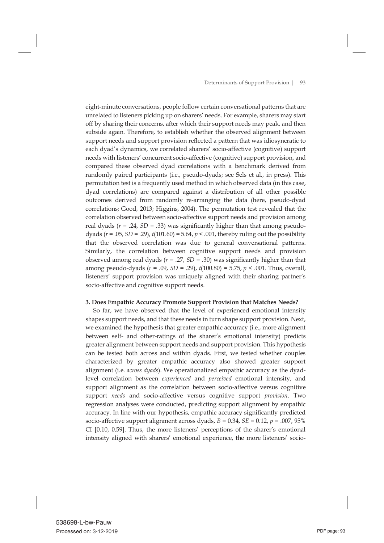eight-minute conversations, people follow certain conversational patterns that are unrelated to listeners picking up on sharers' needs. For example, sharers may start off by sharing their concerns, after which their support needs may peak, and then subside again. Therefore, to establish whether the observed alignment between support needs and support provision reflected a pattern that was idiosyncratic to each dyad's dynamics, we correlated sharers' socio-affective (cognitive) support needs with listeners' concurrent socio-affective (cognitive) support provision, and compared these observed dyad correlations with a benchmark derived from randomly paired participants (i.e., pseudo-dyads; see Sels et al., in press). This permutation test is a frequently used method in which observed data (in this case, dyad correlations) are compared against a distribution of all other possible outcomes derived from randomly re-arranging the data (here, pseudo-dyad correlations; Good, 2013; Higgins, 2004). The permutation test revealed that the correlation observed between socio-affective support needs and provision among real dyads  $(r = .24, SD = .33)$  was significantly higher than that among pseudodyads  $(r = .05, SD = .29)$ ,  $t(101.60) = 5.64$ ,  $p < .001$ , thereby ruling out the possibility that the observed correlation was due to general conversational patterns. Similarly, the correlation between cognitive support needs and provision observed among real dyads (*r* = .27, *SD* = .30) was significantly higher than that among pseudo-dyads (*r* = .09, *SD* = .29), *t*(100.80) = 5.75, *p* < .001. Thus, overall, listeners' support provision was uniquely aligned with their sharing partner's socio-affective and cognitive support needs.

#### **3. Does Empathic Accuracy Promote Support Provision that Matches Needs?**

 So far, we have observed that the level of experienced emotional intensity shapes support needs, and that these needs in turn shape support provision. Next, we examined the hypothesis that greater empathic accuracy (i.e., more alignment between self- and other-ratings of the sharer's emotional intensity) predicts greater alignment between support needs and support provision. This hypothesis can be tested both across and within dyads. First, we tested whether couples characterized by greater empathic accuracy also showed greater support alignment (i.e. *across dyads*). We operationalized empathic accuracy as the dyadlevel correlation between *experienced* and *perceived* emotional intensity, and support alignment as the correlation between socio-affective versus cognitive support *needs* and socio-affective versus cognitive support *provision*. Two regression analyses were conducted, predicting support alignment by empathic accuracy. In line with our hypothesis, empathic accuracy significantly predicted socio-affective support alignment across dyads,  $B = 0.34$ ,  $SE = 0.12$ ,  $p = .007$ , 95% CI [0.10, 0.59]. Thus, the more listeners' perceptions of the sharer's emotional intensity aligned with sharers' emotional experience, the more listeners' socio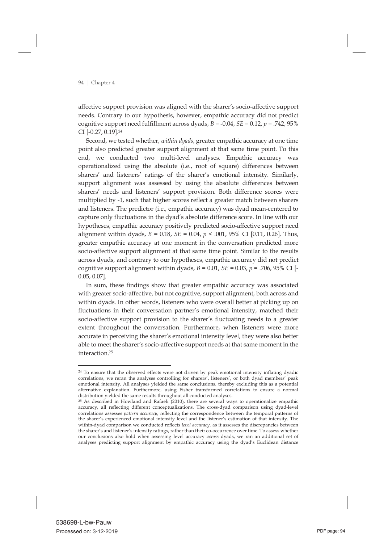affective support provision was aligned with the sharer's socio-affective support needs. Contrary to our hypothesis, however, empathic accuracy did not predict cognitive support need fulfillment across dyads, *B* = -0.04, *SE* = 0.12, *p* = .742, 95% CI [-0.27, 0.19].24

 Second, we tested whether, *within dyads*, greater empathic accuracy at one time point also predicted greater support alignment at that same time point. To this end, we conducted two multi-level analyses. Empathic accuracy was operationalized using the absolute (i.e., root of square) differences between sharers' and listeners' ratings of the sharer's emotional intensity. Similarly, support alignment was assessed by using the absolute differences between sharers' needs and listeners' support provision. Both difference scores were multiplied by -1, such that higher scores reflect a greater match between sharers and listeners. The predictor (i.e., empathic accuracy) was dyad mean-centered to capture only fluctuations in the dyad's absolute difference score. In line with our hypotheses, empathic accuracy positively predicted socio-affective support need alignment within dyads,  $B = 0.18$ ,  $SE = 0.04$ ,  $p < .001$ ,  $95\%$  CI [0.11, 0.26]. Thus, greater empathic accuracy at one moment in the conversation predicted more socio-affective support alignment at that same time point. Similar to the results across dyads, and contrary to our hypotheses, empathic accuracy did not predict cognitive support alignment within dyads,  $B = 0.01$ ,  $SE = 0.03$ ,  $p = .706$ , 95% CI [-0.05, 0.07].

 In sum, these findings show that greater empathic accuracy was associated with greater socio-affective, but not cognitive, support alignment, both across and within dyads. In other words, listeners who were overall better at picking up on fluctuations in their conversation partner's emotional intensity, matched their socio-affective support provision to the sharer's fluctuating needs to a greater extent throughout the conversation. Furthermore, when listeners were more accurate in perceiving the sharer's emotional intensity level, they were also better able to meet the sharer's socio-affective support needs at that same moment in the interaction.25

<sup>&</sup>lt;sup>24</sup> To ensure that the observed effects were not driven by peak emotional intensity inflating dyadic correlations, we reran the analyses controlling for sharers', listeners', or both dyad members' peak emotional intensity. All analyses yielded the same conclusions, thereby excluding this as a potential alternative explanation. Furthermore, using Fisher transformed correlations to ensure a normal distribution yielded the same results throughout all conducted analyses.

<sup>&</sup>lt;sup>25</sup> As described in Howland and Rafaeli (2010), there are several ways to operationalize empathic accuracy, all reflecting different conceptualizations. The cross-dyad comparison using dyad-level correlations assesses *pattern accuracy*, reflecting the correspondence between the temporal patterns of the sharer's experienced emotional intensity level and the listener's estimation of that intensity. The within-dyad comparison we conducted reflects *level accuracy*, as it assesses the discrepancies between the sharer's and listener's intensity ratings, rather than their co-occurrence over time. To assess whether our conclusions also hold when assessing level accuracy *across* dyads, we ran an additional set of analyses predicting support alignment by empathic accuracy using the dyad's Euclidean distance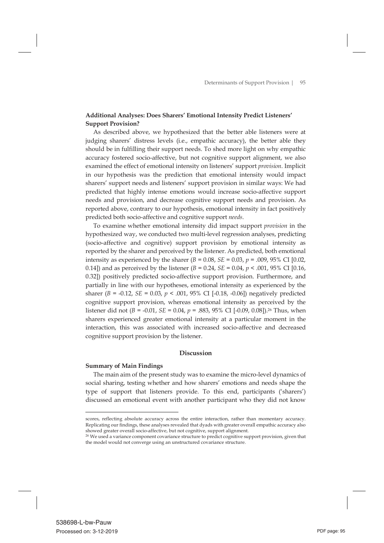# **Additional Analyses: Does Sharers' Emotional Intensity Predict Listeners' Support Provision?**

 As described above, we hypothesized that the better able listeners were at judging sharers' distress levels (i.e., empathic accuracy), the better able they should be in fulfilling their support needs. To shed more light on why empathic accuracy fostered socio-affective, but not cognitive support alignment, we also examined the effect of emotional intensity on listeners' support *provision*. Implicit in our hypothesis was the prediction that emotional intensity would impact sharers' support needs and listeners' support provision in similar ways: We had predicted that highly intense emotions would increase socio-affective support needs and provision, and decrease cognitive support needs and provision. As reported above, contrary to our hypothesis, emotional intensity in fact positively predicted both socio-affective and cognitive support *needs*.

 To examine whether emotional intensity did impact support *provision* in the hypothesized way, we conducted two multi-level regression analyses, predicting (socio-affective and cognitive) support provision by emotional intensity as reported by the sharer and perceived by the listener. As predicted, both emotional intensity as experienced by the sharer  $(B = 0.08, SE = 0.03, p = .009, 95\% \text{ CI } [0.02,$ 0.14]) and as perceived by the listener  $(B = 0.24, SE = 0.04, p < .001, 95\% \text{ CI } [0.16,$ 0.32]) positively predicted socio-affective support provision. Furthermore, and partially in line with our hypotheses, emotional intensity as experienced by the sharer (*B* = -0.12, *SE* = 0.03, *p* < .001, 95% CI [-0.18, -0.06]) negatively predicted cognitive support provision, whereas emotional intensity as perceived by the listener did not (*B* = -0.01, *SE* = 0.04, *p* = .883, 95% CI [-0.09, 0.08]).26 Thus, when sharers experienced greater emotional intensity at a particular moment in the interaction, this was associated with increased socio-affective and decreased cognitive support provision by the listener.

# **Discussion**

# **Summary of Main Findings**

 The main aim of the present study was to examine the micro-level dynamics of social sharing, testing whether and how sharers' emotions and needs shape the type of support that listeners provide. To this end, participants ('sharers') discussed an emotional event with another participant who they did not know

scores, reflecting absolute accuracy across the entire interaction, rather than momentary accuracy. Replicating our findings, these analyses revealed that dyads with greater overall empathic accuracy also showed greater overall socio-affective, but not cognitive, support alignment.

<sup>26</sup> We used a variance component covariance structure to predict cognitive support provision, given that the model would not converge using an unstructured covariance structure.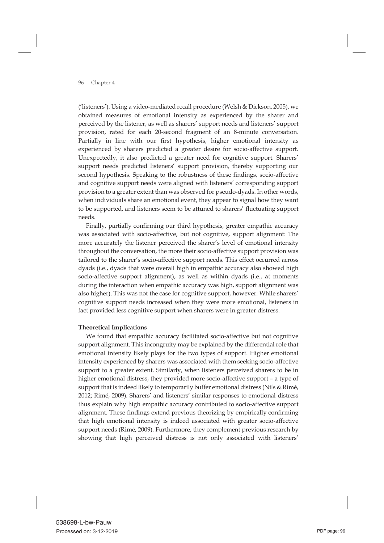('listeners'). Using a video-mediated recall procedure (Welsh & Dickson, 2005), we obtained measures of emotional intensity as experienced by the sharer and perceived by the listener, as well as sharers' support needs and listeners' support provision, rated for each 20-second fragment of an 8-minute conversation. Partially in line with our first hypothesis, higher emotional intensity as experienced by sharers predicted a greater desire for socio-affective support. Unexpectedly, it also predicted a greater need for cognitive support. Sharers' support needs predicted listeners' support provision, thereby supporting our second hypothesis. Speaking to the robustness of these findings, socio-affective and cognitive support needs were aligned with listeners' corresponding support provision to a greater extent than was observed for pseudo-dyads. In other words, when individuals share an emotional event, they appear to signal how they want to be supported, and listeners seem to be attuned to sharers' fluctuating support needs.

 Finally, partially confirming our third hypothesis, greater empathic accuracy was associated with socio-affective, but not cognitive, support alignment: The more accurately the listener perceived the sharer's level of emotional intensity throughout the conversation, the more their socio-affective support provision was tailored to the sharer's socio-affective support needs. This effect occurred across dyads (i.e., dyads that were overall high in empathic accuracy also showed high socio-affective support alignment), as well as within dyads (i.e., at moments during the interaction when empathic accuracy was high, support alignment was also higher). This was not the case for cognitive support, however: While sharers' cognitive support needs increased when they were more emotional, listeners in fact provided less cognitive support when sharers were in greater distress.

# **Theoretical Implications**

 We found that empathic accuracy facilitated socio-affective but not cognitive support alignment. This incongruity may be explained by the differential role that emotional intensity likely plays for the two types of support. Higher emotional intensity experienced by sharers was associated with them seeking socio-affective support to a greater extent. Similarly, when listeners perceived sharers to be in higher emotional distress, they provided more socio-affective support – a type of support that is indeed likely to temporarily buffer emotional distress (Nils & Rimé, 2012; Rimé, 2009). Sharers' and listeners' similar responses to emotional distress thus explain why high empathic accuracy contributed to socio-affective support alignment. These findings extend previous theorizing by empirically confirming that high emotional intensity is indeed associated with greater socio-affective support needs (Rimé, 2009). Furthermore, they complement previous research by showing that high perceived distress is not only associated with listeners'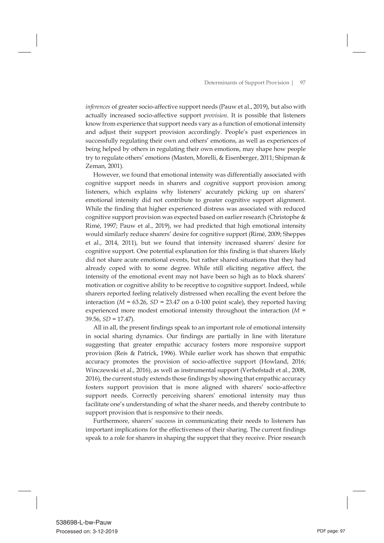*inferences* of greater socio-affective support needs (Pauw et al., 2019), but also with actually increased socio-affective support *provision*. It is possible that listeners know from experience that support needs vary as a function of emotional intensity and adjust their support provision accordingly. People's past experiences in successfully regulating their own and others' emotions, as well as experiences of being helped by others in regulating their own emotions, may shape how people try to regulate others' emotions (Masten, Morelli, & Eisenberger, 2011; Shipman & Zeman, 2001).

 However, we found that emotional intensity was differentially associated with cognitive support needs in sharers and cognitive support provision among listeners, which explains why listeners' accurately picking up on sharers' emotional intensity did not contribute to greater cognitive support alignment. While the finding that higher experienced distress was associated with reduced cognitive support provision was expected based on earlier research (Christophe & Rimé, 1997; Pauw et al., 2019), we had predicted that high emotional intensity would similarly reduce sharers' desire for cognitive support (Rimé, 2009; Sheppes et al., 2014, 2011), but we found that intensity increased sharers' desire for cognitive support. One potential explanation for this finding is that sharers likely did not share acute emotional events, but rather shared situations that they had already coped with to some degree. While still eliciting negative affect, the intensity of the emotional event may not have been so high as to block sharers' motivation or cognitive ability to be receptive to cognitive support. Indeed, while sharers reported feeling relatively distressed when recalling the event before the interaction ( $M = 63.26$ ,  $SD = 23.47$  on a 0-100 point scale), they reported having experienced more modest emotional intensity throughout the interaction (*M* = 39.56, *SD* = 17.47).

 All in all, the present findings speak to an important role of emotional intensity in social sharing dynamics. Our findings are partially in line with literature suggesting that greater empathic accuracy fosters more responsive support provision (Reis & Patrick, 1996). While earlier work has shown that empathic accuracy promotes the provision of socio-affective support (Howland, 2016; Winczewski et al., 2016), as well as instrumental support (Verhofstadt et al., 2008, 2016), the current study extends those findings by showing that empathic accuracy fosters support provision that is more aligned with sharers' socio-affective support needs. Correctly perceiving sharers' emotional intensity may thus facilitate one's understanding of what the sharer needs, and thereby contribute to support provision that is responsive to their needs.

 Furthermore, sharers' success in communicating their needs to listeners has important implications for the effectiveness of their sharing. The current findings speak to a role for sharers in shaping the support that they receive. Prior research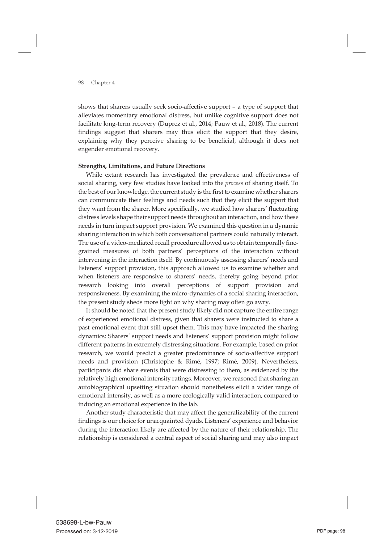shows that sharers usually seek socio-affective support – a type of support that alleviates momentary emotional distress, but unlike cognitive support does not facilitate long-term recovery (Duprez et al., 2014; Pauw et al., 2018). The current findings suggest that sharers may thus elicit the support that they desire, explaining why they perceive sharing to be beneficial, although it does not engender emotional recovery.

# **Strengths, Limitations, and Future Directions**

 While extant research has investigated the prevalence and effectiveness of social sharing, very few studies have looked into the *process* of sharing itself. To the best of our knowledge, the current study is the first to examine whether sharers can communicate their feelings and needs such that they elicit the support that they want from the sharer. More specifically, we studied how sharers' fluctuating distress levels shape their support needs throughout an interaction, and how these needs in turn impact support provision. We examined this question in a dynamic sharing interaction in which both conversational partners could naturally interact. The use of a video-mediated recall procedure allowed us to obtain temporally finegrained measures of both partners' perceptions of the interaction without intervening in the interaction itself. By continuously assessing sharers' needs and listeners' support provision, this approach allowed us to examine whether and when listeners are responsive to sharers' needs, thereby going beyond prior research looking into overall perceptions of support provision and responsiveness. By examining the micro-dynamics of a social sharing interaction, the present study sheds more light on why sharing may often go awry.

 It should be noted that the present study likely did not capture the entire range of experienced emotional distress, given that sharers were instructed to share a past emotional event that still upset them. This may have impacted the sharing dynamics: Sharers' support needs and listeners' support provision might follow different patterns in extremely distressing situations. For example, based on prior research, we would predict a greater predominance of socio-affective support needs and provision (Christophe & Rimé, 1997; Rimé, 2009). Nevertheless, participants did share events that were distressing to them, as evidenced by the relatively high emotional intensity ratings. Moreover, we reasoned that sharing an autobiographical upsetting situation should nonetheless elicit a wider range of emotional intensity, as well as a more ecologically valid interaction, compared to inducing an emotional experience in the lab.

 Another study characteristic that may affect the generalizability of the current findings is our choice for unacquainted dyads. Listeners' experience and behavior during the interaction likely are affected by the nature of their relationship. The relationship is considered a central aspect of social sharing and may also impact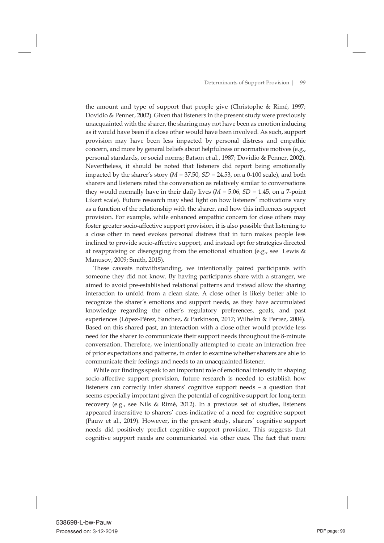the amount and type of support that people give (Christophe & Rimé, 1997; Dovidio & Penner, 2002). Given that listeners in the present study were previously unacquainted with the sharer, the sharing may not have been as emotion inducing as it would have been if a close other would have been involved. As such, support provision may have been less impacted by personal distress and empathic concern, and more by general beliefs about helpfulness or normative motives (e.g., personal standards, or social norms; Batson et al., 1987; Dovidio & Penner, 2002). Nevertheless, it should be noted that listeners did report being emotionally impacted by the sharer's story  $(M = 37.50, SD = 24.53, on a 0-100 scale)$ , and both sharers and listeners rated the conversation as relatively similar to conversations they would normally have in their daily lives  $(M = 5.06, SD = 1.45,$  on a 7-point Likert scale). Future research may shed light on how listeners' motivations vary as a function of the relationship with the sharer, and how this influences support provision. For example, while enhanced empathic concern for close others may foster greater socio-affective support provision, it is also possible that listening to a close other in need evokes personal distress that in turn makes people less inclined to provide socio-affective support, and instead opt for strategies directed at reappraising or disengaging from the emotional situation (e.g., see Lewis & Manusov, 2009; Smith, 2015).

 These caveats notwithstanding, we intentionally paired participants with someone they did not know. By having participants share with a stranger, we aimed to avoid pre-established relational patterns and instead allow the sharing interaction to unfold from a clean slate. A close other is likely better able to recognize the sharer's emotions and support needs, as they have accumulated knowledge regarding the other's regulatory preferences, goals, and past experiences (López-Pérez, Sanchez, & Parkinson, 2017; Wilhelm & Perrez, 2004). Based on this shared past, an interaction with a close other would provide less need for the sharer to communicate their support needs throughout the 8-minute conversation. Therefore, we intentionally attempted to create an interaction free of prior expectations and patterns, in order to examine whether sharers are able to communicate their feelings and needs to an unacquainted listener.

 While our findings speak to an important role of emotional intensity in shaping socio-affective support provision, future research is needed to establish how listeners can correctly infer sharers' cognitive support needs – a question that seems especially important given the potential of cognitive support for long-term recovery (e.g., see Nils & Rimé, 2012). In a previous set of studies, listeners appeared insensitive to sharers' cues indicative of a need for cognitive support (Pauw et al., 2019). However, in the present study, sharers' cognitive support needs did positively predict cognitive support provision. This suggests that cognitive support needs are communicated via other cues. The fact that more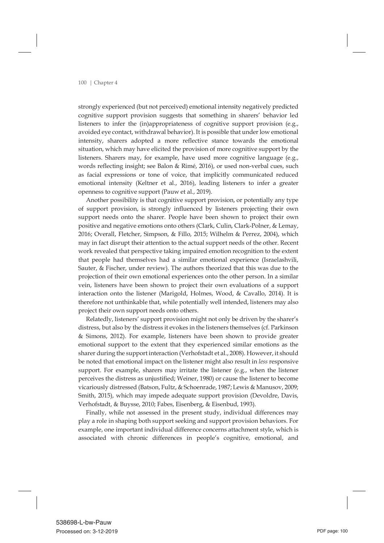strongly experienced (but not perceived) emotional intensity negatively predicted cognitive support provision suggests that something in sharers' behavior led listeners to infer the (in)appropriateness of cognitive support provision (e.g., avoided eye contact, withdrawal behavior). It is possible that under low emotional intensity, sharers adopted a more reflective stance towards the emotional situation, which may have elicited the provision of more cognitive support by the listeners. Sharers may, for example, have used more cognitive language (e.g., words reflecting insight; see Balon & Rimé, 2016), or used non-verbal cues, such as facial expressions or tone of voice, that implicitly communicated reduced emotional intensity (Keltner et al., 2016), leading listeners to infer a greater openness to cognitive support (Pauw et al., 2019).

 Another possibility is that cognitive support provision, or potentially any type of support provision, is strongly influenced by listeners projecting their own support needs onto the sharer. People have been shown to project their own positive and negative emotions onto others (Clark, Culin, Clark-Polner, & Lemay, 2016; Overall, Fletcher, Simpson, & Fillo, 2015; Wilhelm & Perrez, 2004), which may in fact disrupt their attention to the actual support needs of the other. Recent work revealed that perspective taking impaired emotion recognition to the extent that people had themselves had a similar emotional experience (Israelashvili, Sauter, & Fischer, under review). The authors theorized that this was due to the projection of their own emotional experiences onto the other person. In a similar vein, listeners have been shown to project their own evaluations of a support interaction onto the listener (Marigold, Holmes, Wood, & Cavallo, 2014). It is therefore not unthinkable that, while potentially well intended, listeners may also project their own support needs onto others.

 Relatedly, listeners' support provision might not only be driven by the sharer's distress, but also by the distress it evokes in the listeners themselves (cf. Parkinson & Simons, 2012). For example, listeners have been shown to provide greater emotional support to the extent that they experienced similar emotions as the sharer during the support interaction (Verhofstadt et al., 2008). However, it should be noted that emotional impact on the listener might also result in *less* responsive support. For example, sharers may irritate the listener (e.g., when the listener perceives the distress as unjustified; Weiner, 1980) or cause the listener to become vicariously distressed (Batson, Fultz, & Schoenrade, 1987;Lewis & Manusov, 2009; Smith, 2015), which may impede adequate support provision (Devoldre, Davis, Verhofstadt, & Buysse, 2010; Fabes, Eisenberg, & Eisenbud, 1993).

 Finally, while not assessed in the present study, individual differences may play a role in shaping both support seeking and support provision behaviors. For example, one important individual difference concerns attachment style, which is associated with chronic differences in people's cognitive, emotional, and